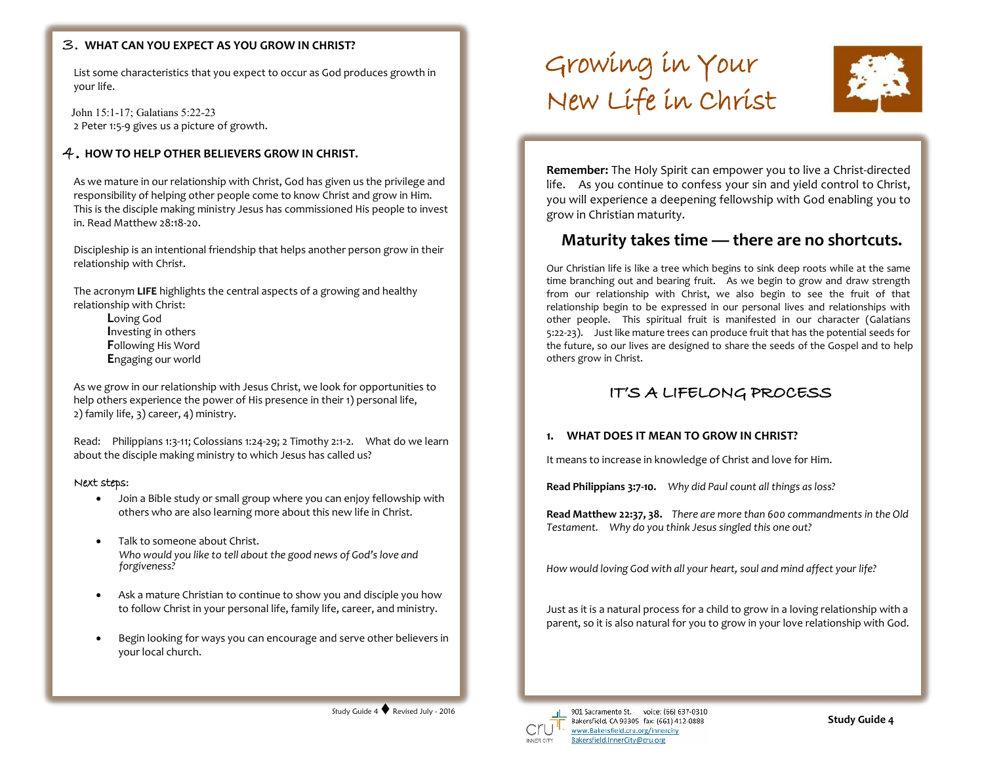## **WHAT CAN YOU EXPECT AS YOU GROW IN CHRIST?**

List some characteristics that you expect to occur as God produces growth in your life.

John 15:1-17; Galatians 5:22-23 2 Peter 1:5-9 gives us a picture of growth.

# $4$  . HOW TO HELP OTHER BELIEVERS GROW IN CHRIST.

As we mature in our relationship with Christ, God has given us the privilege and responsibility of helping other people come to know Christ and grow in Him. This is the disciple making ministry Jesus has commissioned His people to invest in. Read Matthew 28:18-20.

Discipleship is an intentional friendship that helps another person grow in their relationship with Christ. **Faith Faith Faith Faith Faith Faith Faith Faith Faith Faith Faith Faith Faith Faith** 

The acronym **LIFE** highlights the central aspects of a growing and healthy relationship with Christ:

**L**oving God **I**nvesting in others **F**ollowing His Word **E**ngaging our world

As we grow in our relationship with Jesus Christ, we look for opportunities to help others experience the power of His presence in their 1) personal life, 2) family life, 3) career, 4) ministry.

Read: Philippians 1:3-11; Colossians 1:24-29; 2 Timothy 2:1-2. What do we learn about the disciple making ministry to which Jesus has called us?

### Next steps:

- Join a Bible study or small group where you can enjoy fellowship with others who are also learning more about this new life in Christ.
- Talk to someone about Christ. *Who would you like to tell about the good news of God's love and forgiveness?*
- Ask a mature Christian to continue to show you and disciple you how to follow Christ in your personal life, family life, career, and ministry.
- Begin looking for ways you can encourage and serve other believers in your local church.

# Growing in Your New Life in Christ



**Remember:** The Holy Spirit can empower you to live a Christ-directed life. As you continue to confess your sin and yield control to Christ, you will experience a deepening fellowship with God enabling you to grow in Christian maturity.

# **Maturity takes time — there are no shortcuts.**

Our Christian life is like a tree which begins to sink deep roots while at the same time branching out and bearing fruit. As we begin to grow and draw strength from our relationship with Christ, we also begin to see the fruit of that relationship begin to be expressed in our personal lives and relationships with other people. This spiritual fruit is manifested in our character (Galatians 5:22-23). Just like mature trees can produce fruit that has the potential seeds for the future, so our lives are designed to share the seeds of the Gospel and to help others grow in Christ.

# IT'S A LIFELONG PROCESS

## **1. WHAT DOES IT MEAN TO GROW IN CHRIST?**

It means to increase in knowledge of Christ and love for Him.

**Read Philippians 3:7-10.** *Why did Paul count all things as loss?*

**Read Matthew 22:37, 38.** *There are more than 600 commandments in the Old Testament. Why do you think Jesus singled this one out?*

*How would loving God with all your heart, soul and mind affect your life?*

Just as it is a natural process for a child to grow in a loving relationship with a parent, so it is also natural for you to grow in your love relationship with God.